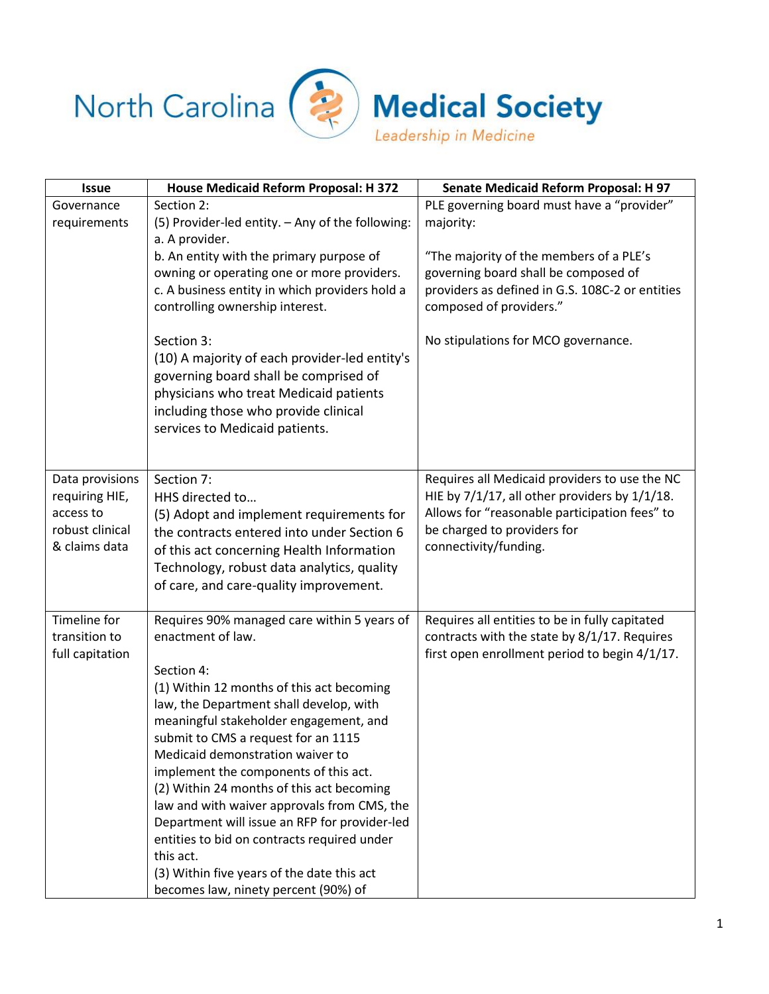



**Medical Society** 

| <b>Issue</b>                                                                       | House Medicaid Reform Proposal: H 372                                                                                                                                                                                                                                                                                                                                                                                                                                                                                                                                                                                               | <b>Senate Medicaid Reform Proposal: H 97</b>                                                                                                                                                                  |
|------------------------------------------------------------------------------------|-------------------------------------------------------------------------------------------------------------------------------------------------------------------------------------------------------------------------------------------------------------------------------------------------------------------------------------------------------------------------------------------------------------------------------------------------------------------------------------------------------------------------------------------------------------------------------------------------------------------------------------|---------------------------------------------------------------------------------------------------------------------------------------------------------------------------------------------------------------|
| Governance<br>requirements                                                         | Section 2:<br>(5) Provider-led entity. - Any of the following:<br>a. A provider.                                                                                                                                                                                                                                                                                                                                                                                                                                                                                                                                                    | PLE governing board must have a "provider"<br>majority:                                                                                                                                                       |
|                                                                                    | b. An entity with the primary purpose of<br>owning or operating one or more providers.<br>c. A business entity in which providers hold a<br>controlling ownership interest.                                                                                                                                                                                                                                                                                                                                                                                                                                                         | "The majority of the members of a PLE's<br>governing board shall be composed of<br>providers as defined in G.S. 108C-2 or entities<br>composed of providers."                                                 |
|                                                                                    | Section 3:<br>(10) A majority of each provider-led entity's<br>governing board shall be comprised of<br>physicians who treat Medicaid patients<br>including those who provide clinical<br>services to Medicaid patients.                                                                                                                                                                                                                                                                                                                                                                                                            | No stipulations for MCO governance.                                                                                                                                                                           |
| Data provisions<br>requiring HIE,<br>access to<br>robust clinical<br>& claims data | Section 7:<br>HHS directed to<br>(5) Adopt and implement requirements for<br>the contracts entered into under Section 6<br>of this act concerning Health Information<br>Technology, robust data analytics, quality<br>of care, and care-quality improvement.                                                                                                                                                                                                                                                                                                                                                                        | Requires all Medicaid providers to use the NC<br>HIE by $7/1/17$ , all other providers by $1/1/18$ .<br>Allows for "reasonable participation fees" to<br>be charged to providers for<br>connectivity/funding. |
| Timeline for<br>transition to<br>full capitation                                   | Requires 90% managed care within 5 years of<br>enactment of law.<br>Section 4:<br>(1) Within 12 months of this act becoming<br>law, the Department shall develop, with<br>meaningful stakeholder engagement, and<br>submit to CMS a request for an 1115<br>Medicaid demonstration waiver to<br>implement the components of this act.<br>(2) Within 24 months of this act becoming<br>law and with waiver approvals from CMS, the<br>Department will issue an RFP for provider-led<br>entities to bid on contracts required under<br>this act.<br>(3) Within five years of the date this act<br>becomes law, ninety percent (90%) of | Requires all entities to be in fully capitated<br>contracts with the state by 8/1/17. Requires<br>first open enrollment period to begin 4/1/17.                                                               |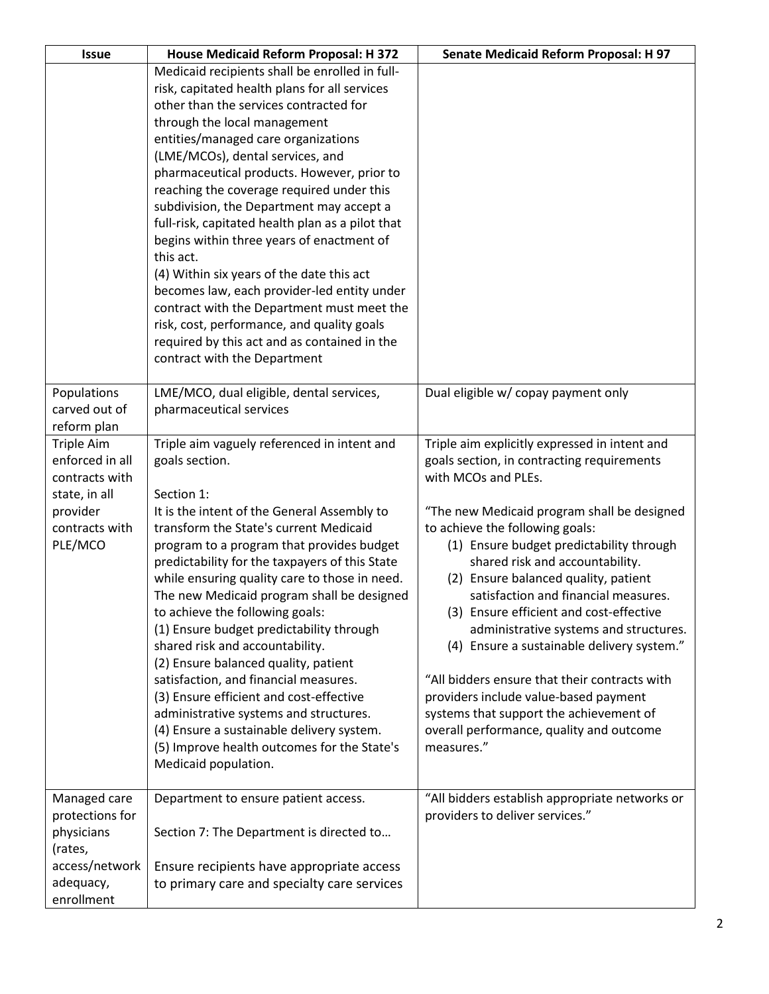| <b>Issue</b>      | House Medicaid Reform Proposal: H 372            | <b>Senate Medicaid Reform Proposal: H 97</b>   |
|-------------------|--------------------------------------------------|------------------------------------------------|
|                   | Medicaid recipients shall be enrolled in full-   |                                                |
|                   | risk, capitated health plans for all services    |                                                |
|                   | other than the services contracted for           |                                                |
|                   | through the local management                     |                                                |
|                   | entities/managed care organizations              |                                                |
|                   | (LME/MCOs), dental services, and                 |                                                |
|                   | pharmaceutical products. However, prior to       |                                                |
|                   | reaching the coverage required under this        |                                                |
|                   | subdivision, the Department may accept a         |                                                |
|                   | full-risk, capitated health plan as a pilot that |                                                |
|                   | begins within three years of enactment of        |                                                |
|                   | this act.                                        |                                                |
|                   | (4) Within six years of the date this act        |                                                |
|                   | becomes law, each provider-led entity under      |                                                |
|                   | contract with the Department must meet the       |                                                |
|                   | risk, cost, performance, and quality goals       |                                                |
|                   | required by this act and as contained in the     |                                                |
|                   | contract with the Department                     |                                                |
|                   |                                                  |                                                |
| Populations       | LME/MCO, dual eligible, dental services,         | Dual eligible w/ copay payment only            |
| carved out of     | pharmaceutical services                          |                                                |
| reform plan       |                                                  |                                                |
| <b>Triple Aim</b> | Triple aim vaguely referenced in intent and      | Triple aim explicitly expressed in intent and  |
| enforced in all   | goals section.                                   | goals section, in contracting requirements     |
| contracts with    |                                                  | with MCOs and PLEs.                            |
| state, in all     | Section 1:                                       |                                                |
| provider          | It is the intent of the General Assembly to      | "The new Medicaid program shall be designed    |
| contracts with    | transform the State's current Medicaid           | to achieve the following goals:                |
| PLE/MCO           | program to a program that provides budget        | (1) Ensure budget predictability through       |
|                   | predictability for the taxpayers of this State   | shared risk and accountability.                |
|                   | while ensuring quality care to those in need.    | (2) Ensure balanced quality, patient           |
|                   | The new Medicaid program shall be designed       | satisfaction and financial measures.           |
|                   | to achieve the following goals:                  | (3) Ensure efficient and cost-effective        |
|                   | (1) Ensure budget predictability through         | administrative systems and structures.         |
|                   | shared risk and accountability.                  | (4) Ensure a sustainable delivery system."     |
|                   | (2) Ensure balanced quality, patient             |                                                |
|                   | satisfaction, and financial measures.            | "All bidders ensure that their contracts with  |
|                   | (3) Ensure efficient and cost-effective          | providers include value-based payment          |
|                   | administrative systems and structures.           | systems that support the achievement of        |
|                   | (4) Ensure a sustainable delivery system.        | overall performance, quality and outcome       |
|                   | (5) Improve health outcomes for the State's      | measures."                                     |
|                   | Medicaid population.                             |                                                |
|                   |                                                  |                                                |
| Managed care      | Department to ensure patient access.             | "All bidders establish appropriate networks or |
| protections for   |                                                  | providers to deliver services."                |
| physicians        | Section 7: The Department is directed to         |                                                |
| (rates,           |                                                  |                                                |
| access/network    | Ensure recipients have appropriate access        |                                                |
| adequacy,         | to primary care and specialty care services      |                                                |
| enrollment        |                                                  |                                                |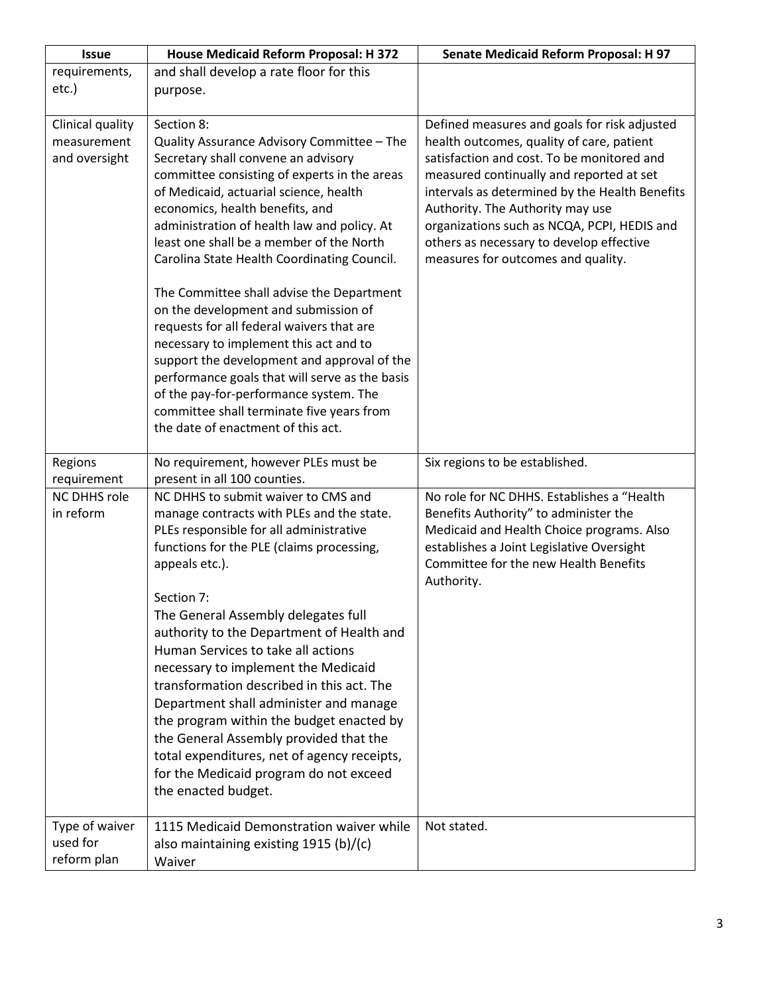| <b>Issue</b>        | House Medicaid Reform Proposal: H 372          | Senate Medicaid Reform Proposal: H 97               |
|---------------------|------------------------------------------------|-----------------------------------------------------|
| requirements,       | and shall develop a rate floor for this        |                                                     |
| etc.)               | purpose.                                       |                                                     |
|                     |                                                |                                                     |
| Clinical quality    | Section 8:                                     | Defined measures and goals for risk adjusted        |
| measurement         | Quality Assurance Advisory Committee - The     | health outcomes, quality of care, patient           |
| and oversight       | Secretary shall convene an advisory            | satisfaction and cost. To be monitored and          |
|                     | committee consisting of experts in the areas   | measured continually and reported at set            |
|                     | of Medicaid, actuarial science, health         | intervals as determined by the Health Benefits      |
|                     | economics, health benefits, and                | Authority. The Authority may use                    |
|                     | administration of health law and policy. At    | organizations such as NCQA, PCPI, HEDIS and         |
|                     | least one shall be a member of the North       | others as necessary to develop effective            |
|                     | Carolina State Health Coordinating Council.    | measures for outcomes and quality.                  |
|                     | The Committee shall advise the Department      |                                                     |
|                     | on the development and submission of           |                                                     |
|                     | requests for all federal waivers that are      |                                                     |
|                     | necessary to implement this act and to         |                                                     |
|                     | support the development and approval of the    |                                                     |
|                     | performance goals that will serve as the basis |                                                     |
|                     | of the pay-for-performance system. The         |                                                     |
|                     | committee shall terminate five years from      |                                                     |
|                     | the date of enactment of this act.             |                                                     |
|                     |                                                |                                                     |
| Regions             | No requirement, however PLEs must be           | Six regions to be established.                      |
| requirement         | present in all 100 counties.                   |                                                     |
| <b>NC DHHS role</b> | NC DHHS to submit waiver to CMS and            | No role for NC DHHS. Establishes a "Health          |
| in reform           | manage contracts with PLEs and the state.      | Benefits Authority" to administer the               |
|                     | PLEs responsible for all administrative        | Medicaid and Health Choice programs. Also           |
|                     | functions for the PLE (claims processing,      | establishes a Joint Legislative Oversight           |
|                     | appeals etc.).                                 | Committee for the new Health Benefits<br>Authority. |
|                     | Section 7:                                     |                                                     |
|                     | The General Assembly delegates full            |                                                     |
|                     | authority to the Department of Health and      |                                                     |
|                     | Human Services to take all actions             |                                                     |
|                     | necessary to implement the Medicaid            |                                                     |
|                     | transformation described in this act. The      |                                                     |
|                     | Department shall administer and manage         |                                                     |
|                     | the program within the budget enacted by       |                                                     |
|                     | the General Assembly provided that the         |                                                     |
|                     | total expenditures, net of agency receipts,    |                                                     |
|                     | for the Medicaid program do not exceed         |                                                     |
|                     | the enacted budget.                            |                                                     |
|                     |                                                |                                                     |
| Type of waiver      | 1115 Medicaid Demonstration waiver while       | Not stated.                                         |
| used for            | also maintaining existing 1915 (b)/(c)         |                                                     |
| reform plan         | Waiver                                         |                                                     |